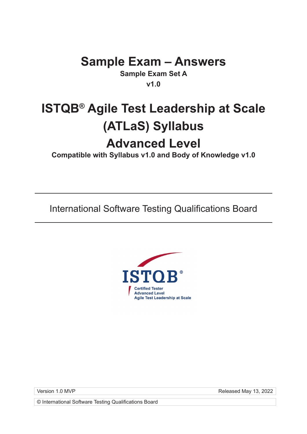## **Sample Exam – Answers**

**Sample Exam Set A v1.0**

# **ISTQB® Agile Test Leadership at Scale (ATLaS) Syllabus Advanced Level**

**Compatible with Syllabus v1.0 and Body of Knowledge v1.0**

International Software Testing Qualifications Board



Version 1.0 MVP **Released May 13, 2022** 

© International Software Testing Qualifications Board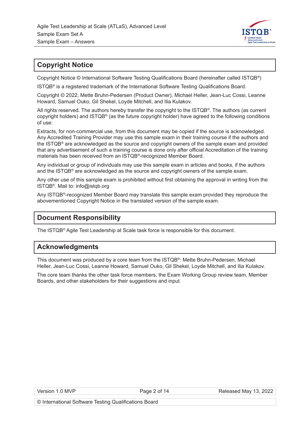

## **Copyright Notice**

Copyright Notice © International Software Testing Qualifications Board (hereinafter called ISTQB®)

ISTQB® is a registered trademark of the International Software Testing Qualifications Board.

Copyright © 2022, Mette Bruhn-Pedersen (Product Owner), Michael Heller, Jean-Luc Cossi, Leanne Howard, Samuel Ouko, Gil Shekel, Loyde Mitchell, and Ilia Kulakov.

All rights reserved. The authors hereby transfer the copyright to the ISTQB®. The authors (as current copyright holders) and ISTQB® (as the future copyright holder) have agreed to the following conditions of use:

Extracts, for non-commercial use, from this document may be copied if the source is acknowledged. Any Accredited Training Provider may use this sample exam in their training course if the authors and the ISTQB® are acknowledged as the source and copyright owners of the sample exam and provided that any advertisement of such a training course is done only after official Accreditation of the training materials has been received from an ISTQB®-recognized Member Board.

Any individual or group of individuals may use this sample exam in articles and books, if the authors and the ISTQB<sup>®</sup> are acknowledged as the source and copyright owners of the sample exam.

Any other use of this sample exam is prohibited without first obtaining the approval in writing from the ISTQB®. Mail to: info@istqb.org

Any ISTQB®-recognized Member Board may translate this sample exam provided they reproduce the abovementioned Copyright Notice in the translated version of the sample exam.

## **Document Responsibility**

The ISTQB® Agile Test Leadership at Scale task force is responsible for this document.

## **Acknowledgments**

This document was produced by a core team from the ISTQB®: Mette Bruhn-Pedersen, Michael Heller, Jean-Luc Cossi, Leanne Howard, Samuel Ouko, Gil Shekel, Loyde Mitchell, and Ilia Kulakov.

The core team thanks the other task force members, the Exam Working Group review team, Member Boards, and other stakeholders for their suggestions and input.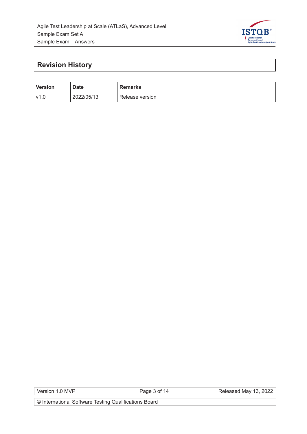

## **Revision History**

| <b>Version</b> | <b>Date</b> | <b>Remarks</b>  |
|----------------|-------------|-----------------|
| ่ v1.⊾         | 2022/05/13  | Release version |

Version 1.0 MVP **Page 3 of 14** Page 3 of 14

© International Software Testing Qualifications Board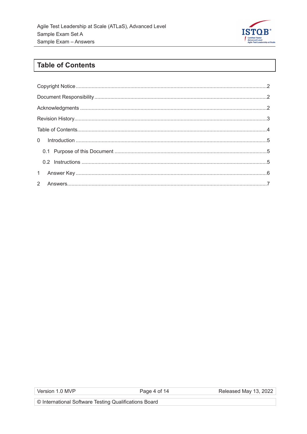

## **Table of Contents**

Page 4 of 14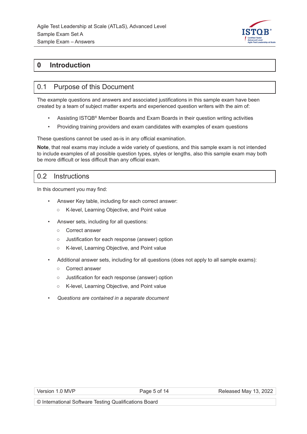

## **0 Introduction**

### 0.1 Purpose of this Document

The example questions and answers and associated justifications in this sample exam have been created by a team of subject matter experts and experienced question writers with the aim of:

- Assisting ISTQB® Member Boards and Exam Boards in their question writing activities
- Providing training providers and exam candidates with examples of exam questions

These questions cannot be used as-is in any official examination.

**Note**, that real exams may include a wide variety of questions, and this sample exam is not intended to include examples of all possible question types, styles or lengths, also this sample exam may both be more difficult or less difficult than any official exam.

#### 0.2 Instructions

In this document you may find:

- Answer Key table, including for each correct answer:
	- K-level, Learning Objective, and Point value
- Answer sets, including for all questions:
	- Correct answer
	- Justification for each response (answer) option
	- K-level, Learning Objective, and Point value
- Additional answer sets, including for all questions (does not apply to all sample exams):
	- Correct answer
	- Justification for each response (answer) option
	- K-level, Learning Objective, and Point value
- *Questions are contained in a separate document*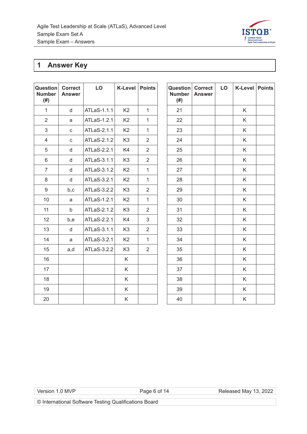

## **1 Answer Key**

| Question<br><b>Number</b><br>(# ) | <b>Correct</b><br><b>Answer</b> | LO          | <b>K-Level</b> | <b>Points</b>  | <b>Question Correct</b><br><b>Number</b><br>(# ) | <b>Answer</b> | LO | K-Le |
|-----------------------------------|---------------------------------|-------------|----------------|----------------|--------------------------------------------------|---------------|----|------|
| $\mathbf{1}$                      | $\mathsf{d}$                    | ATLaS-1.1.1 | K <sub>2</sub> | $\mathbf{1}$   | 21                                               |               |    | K    |
| $\overline{2}$                    | a                               | ATLaS-1.2.1 | K <sub>2</sub> | $\mathbf{1}$   | 22                                               |               |    | K    |
| 3                                 | $\mathbf{C}$                    | ATLaS-2.1.1 | K <sub>2</sub> | $\mathbf{1}$   | 23                                               |               |    | K    |
| $\overline{4}$                    | $\mathbf{C}$                    | ATLaS-2.1.2 | K <sub>3</sub> | $\overline{2}$ | 24                                               |               |    | K    |
| 5                                 | $\mathsf{d}$                    | ATLaS-2.2.1 | K4             | $\overline{2}$ | 25                                               |               |    | K    |
| 6                                 | d                               | ATLaS-3.1.1 | K <sub>3</sub> | $\overline{2}$ | 26                                               |               |    | K    |
| $\overline{7}$                    | $\mathsf{d}$                    | ATLaS-3.1.2 | K <sub>2</sub> | $\mathbf{1}$   | 27                                               |               |    | K    |
| 8                                 | $\mathsf{d}$                    | ATLaS-3.2.1 | K <sub>2</sub> | $\mathbf{1}$   | 28                                               |               |    | K    |
| 9                                 | b,c                             | ATLaS-3.2.2 | K <sub>3</sub> | $\overline{2}$ | 29                                               |               |    | K    |
| 10                                | a                               | ATLaS-1.2.1 | K <sub>2</sub> | $\mathbf{1}$   | 30                                               |               |    | K    |
| 11                                | $\mathsf{b}$                    | ATLaS-2.1.2 | K <sub>3</sub> | $\overline{2}$ | 31                                               |               |    | K    |
| 12                                | b,e                             | ATLaS-2.2.1 | K4             | 3              | 32                                               |               |    | K    |
| 13                                | $\mathsf{d}$                    | ATLaS-3.1.1 | K <sub>3</sub> | $\overline{2}$ | 33                                               |               |    | K    |
| 14                                | a                               | ATLaS-3.2.1 | K <sub>2</sub> | $\mathbf{1}$   | 34                                               |               |    | K    |
| 15                                | a,d                             | ATLaS-3.2.2 | K <sub>3</sub> | $\overline{2}$ | 35                                               |               |    | K    |
| 16                                |                                 |             | K              |                | 36                                               |               |    | K    |
| 17                                |                                 |             | K              |                | 37                                               |               |    | K    |
| 18                                |                                 |             | K.             |                | 38                                               |               |    | K    |
| 19                                |                                 |             | K              |                | 39                                               |               |    | K    |
| 20                                |                                 |             | K              |                | 40                                               |               |    | K    |

| Question<br><b>Number</b><br>$(\#)$ | <b>Correct</b><br><b>Answer</b> | LO | K-Level Points |  |
|-------------------------------------|---------------------------------|----|----------------|--|
| 21                                  |                                 |    | Κ              |  |
| 22                                  |                                 |    | Κ              |  |
| 23                                  |                                 |    | K              |  |
| 24                                  |                                 |    | Κ              |  |
| 25                                  |                                 |    | Κ              |  |
| 26                                  |                                 |    | K              |  |
| 27                                  |                                 |    | Κ              |  |
| 28                                  |                                 |    | Κ              |  |
| 29                                  |                                 |    | Κ              |  |
| 30                                  |                                 |    | Κ              |  |
| 31                                  |                                 |    | Κ              |  |
| 32                                  |                                 |    | Κ              |  |
| 33                                  |                                 |    | Κ              |  |
| 34                                  |                                 |    | Κ              |  |
| 35                                  |                                 |    | Κ              |  |
| 36                                  |                                 |    | K              |  |
| 37                                  |                                 |    | Κ              |  |
| 38                                  |                                 |    | Κ              |  |
| 39                                  |                                 |    | Κ              |  |
| 40                                  |                                 |    | Κ              |  |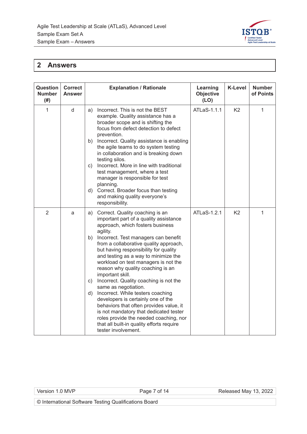

## **2 Answers**

| <b>Question</b><br><b>Number</b><br>(# ) | <b>Correct</b><br><b>Answer</b> | <b>Explanation / Rationale</b>                                                                                                                                                                                                                                                                                                                                                                                                                                                                                                                                                                                                                                                                                                                                     | Learning<br><b>Objective</b><br>(LO) | <b>K-Level</b> | <b>Number</b><br>of Points |
|------------------------------------------|---------------------------------|--------------------------------------------------------------------------------------------------------------------------------------------------------------------------------------------------------------------------------------------------------------------------------------------------------------------------------------------------------------------------------------------------------------------------------------------------------------------------------------------------------------------------------------------------------------------------------------------------------------------------------------------------------------------------------------------------------------------------------------------------------------------|--------------------------------------|----------------|----------------------------|
| $\mathbf{1}$                             | d                               | Incorrect. This is not the BEST<br>a)<br>example. Quality assistance has a<br>broader scope and is shifting the<br>focus from defect detection to defect<br>prevention.<br>b) Incorrect. Quality assistance is enabling<br>the agile teams to do system testing<br>in collaboration and is breaking down<br>testing silos.<br>c) Incorrect. More in line with traditional<br>test management, where a test<br>manager is responsible for test<br>planning.<br>d) Correct. Broader focus than testing<br>and making quality everyone's<br>responsibility.                                                                                                                                                                                                           | ATLaS-1.1.1                          | K <sub>2</sub> | 1                          |
| $\overline{2}$                           | a                               | Correct. Quality coaching is an<br>a)<br>important part of a quality assistance<br>approach, which fosters business<br>agility.<br>Incorrect. Test managers can benefit<br>b)<br>from a collaborative quality approach,<br>but having responsibility for quality<br>and testing as a way to minimize the<br>workload on test managers is not the<br>reason why quality coaching is an<br>important skill.<br>c) Incorrect. Quality coaching is not the<br>same as negotiation.<br>Incorrect. While testers coaching<br>d)<br>developers is certainly one of the<br>behaviors that often provides value, it<br>is not mandatory that dedicated tester<br>roles provide the needed coaching, nor<br>that all built-in quality efforts require<br>tester involvement. | ATLaS-1.2.1                          | K <sub>2</sub> | $\mathbf{1}$               |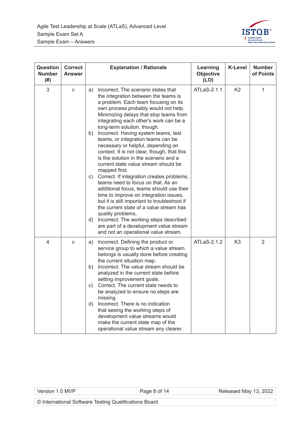

| Question<br><b>Number</b><br>(# ) | <b>Correct</b><br><b>Answer</b> | <b>Explanation / Rationale</b>                                                                                                                                                                                                                                                                                                                                                                                                                                                                                                                                                                                                                                                                                                                                                                                                                                                                                                                                                                | Learning<br><b>Objective</b><br>(LO) | <b>K-Level</b> | <b>Number</b><br>of Points |
|-----------------------------------|---------------------------------|-----------------------------------------------------------------------------------------------------------------------------------------------------------------------------------------------------------------------------------------------------------------------------------------------------------------------------------------------------------------------------------------------------------------------------------------------------------------------------------------------------------------------------------------------------------------------------------------------------------------------------------------------------------------------------------------------------------------------------------------------------------------------------------------------------------------------------------------------------------------------------------------------------------------------------------------------------------------------------------------------|--------------------------------------|----------------|----------------------------|
| 3                                 | С                               | Incorrect. The scenario states that<br>a)<br>the integration between the teams is<br>a problem. Each team focusing on its<br>own process probably would not help.<br>Minimizing delays that stop teams from<br>integrating each other's work can be a<br>long-term solution, though.<br>Incorrect. Having system teams, test<br>b)<br>teams, or integration teams can be<br>necessary or helpful, depending on<br>context. It is not clear, though, that this<br>is the solution in the scenario and a<br>current state value stream should be<br>mapped first.<br>Correct. If integration creates problems,<br>C)<br>teams need to focus on that. As an<br>additional focus, teams should use their<br>time to improve on integration issues,<br>but it is still important to troubleshoot if<br>the current state of a value stream has<br>quality problems.<br>d) Incorrect. The working steps described<br>are part of a development value stream<br>and not an operational value stream. | ATLaS-2.1.1                          | K <sub>2</sub> | 1                          |
| 4                                 | C                               | Incorrect. Defining the product or<br>a)<br>service group to which a value stream<br>belongs is usually done before creating<br>the current situation map.<br>Incorrect. The value stream should be<br>b)<br>analyzed in the current state before<br>setting improvement goals.<br>Correct. The current state needs to<br>C)<br>be analyzed to ensure no steps are<br>missing.<br>Incorrect. There is no indication<br>d)<br>that seeing the working steps of<br>development value streams would<br>make the current state map of the<br>operational value stream any clearer.                                                                                                                                                                                                                                                                                                                                                                                                                | ATLaS-2.1.2                          | K3             | 2                          |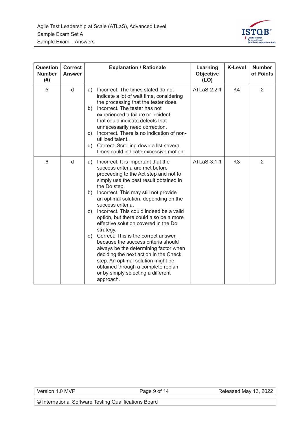

| Question<br><b>Number</b><br>(# ) | <b>Correct</b><br><b>Answer</b> | <b>Explanation / Rationale</b>                                                                                                                                                                                                                                                                                                                                                                                                                                                                                                                                                                                                                                                                                                                 | Learning<br><b>Objective</b><br>(LO) | <b>K-Level</b> | <b>Number</b><br>of Points |
|-----------------------------------|---------------------------------|------------------------------------------------------------------------------------------------------------------------------------------------------------------------------------------------------------------------------------------------------------------------------------------------------------------------------------------------------------------------------------------------------------------------------------------------------------------------------------------------------------------------------------------------------------------------------------------------------------------------------------------------------------------------------------------------------------------------------------------------|--------------------------------------|----------------|----------------------------|
| 5                                 | d                               | Incorrect. The times stated do not<br>a)<br>indicate a lot of wait time, considering<br>the processing that the tester does.<br>Incorrect. The tester has not<br>b)<br>experienced a failure or incident<br>that could indicate defects that<br>unnecessarily need correction.<br>Incorrect. There is no indication of non-<br>C)<br>utilized talent.<br>Correct. Scrolling down a list several<br>d)<br>times could indicate excessive motion.                                                                                                                                                                                                                                                                                                | ATLaS-2.2.1                          | K4             | 2                          |
| 6                                 | d                               | a) Incorrect. It is important that the<br>success criteria are met before<br>proceeding to the Act step and not to<br>simply use the best result obtained in<br>the Do step.<br>Incorrect. This may still not provide<br>b)<br>an optimal solution, depending on the<br>success criteria.<br>Incorrect. This could indeed be a valid<br>C)<br>option, but there could also be a more<br>effective solution covered in the Do<br>strategy.<br>Correct. This is the correct answer<br>d)<br>because the success criteria should<br>always be the determining factor when<br>deciding the next action in the Check<br>step. An optimal solution might be<br>obtained through a complete replan<br>or by simply selecting a different<br>approach. | ATLaS-3.1.1                          | K <sub>3</sub> | 2                          |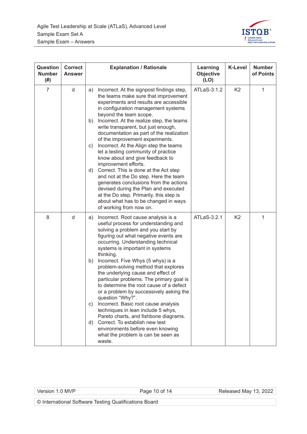

| Question<br><b>Number</b><br>(# ) | <b>Correct</b><br><b>Answer</b> | <b>Explanation / Rationale</b>                                                                                                                                                                                                                                                                                                                                                                                                                                                                                                                                                                                                                                                                                                                                                                                        | Learning<br><b>Objective</b><br>(LO) | <b>K-Level</b> | <b>Number</b><br>of Points |
|-----------------------------------|---------------------------------|-----------------------------------------------------------------------------------------------------------------------------------------------------------------------------------------------------------------------------------------------------------------------------------------------------------------------------------------------------------------------------------------------------------------------------------------------------------------------------------------------------------------------------------------------------------------------------------------------------------------------------------------------------------------------------------------------------------------------------------------------------------------------------------------------------------------------|--------------------------------------|----------------|----------------------------|
| $\overline{7}$                    | d                               | Incorrect. At the signpost findings step,<br>a)<br>the teams make sure that improvement<br>experiments and results are accessible<br>in configuration management systems<br>beyond the team scope.<br>Incorrect. At the realize step, the teams<br>b)<br>write transparent, but just enough,<br>documentation as part of the realization<br>of the improvement experiments.<br>Incorrect. At the Align step the teams<br>C)<br>let a testing community of practice<br>know about and give feedback to<br>improvement efforts.<br>Correct. This is done at the Act step<br>d)<br>and not at the Do step. Here the team<br>generates conclusions from the actions<br>devised during the Plan and executed<br>at the Do step. Primarily, this step is<br>about what has to be changed in ways<br>of working from now on. | ATLaS-3.1.2                          | K <sub>2</sub> | 1                          |
| 8                                 | d                               | Incorrect. Root cause analysis is a<br>a)<br>useful process for understanding and<br>solving a problem and you start by<br>figuring out what negative events are<br>occurring. Understanding technical<br>systems is important in systems<br>thinking.<br>Incorrect. Five Whys (5 whys) is a<br>b)<br>problem-solving method that explores<br>the underlying cause and effect of<br>particular problems. The primary goal is<br>to determine the root cause of a defect<br>or a problem by successively asking the<br>question "Why?".<br>Incorrect. Basic root cause analysis<br>C)<br>techniques in lean include 5 whys,<br>Pareto charts, and fishbone diagrams.<br>Correct. To establish new test<br>d)<br>environments before even knowing<br>what the problem is can be seen as<br>waste.                       | ATLaS-3.2.1                          | K <sub>2</sub> | 1                          |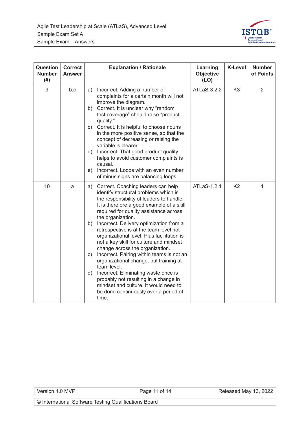

| Question<br><b>Number</b><br>(# ) | <b>Correct</b><br><b>Answer</b> | <b>Explanation / Rationale</b>                                                                                                                                                                                                                                                                                                                                                                                                                                                                                                                                                                                                                                                                                                                                 | Learning<br><b>Objective</b><br>(LO) | <b>K-Level</b> | <b>Number</b><br>of Points |
|-----------------------------------|---------------------------------|----------------------------------------------------------------------------------------------------------------------------------------------------------------------------------------------------------------------------------------------------------------------------------------------------------------------------------------------------------------------------------------------------------------------------------------------------------------------------------------------------------------------------------------------------------------------------------------------------------------------------------------------------------------------------------------------------------------------------------------------------------------|--------------------------------------|----------------|----------------------------|
| 9                                 | b,c                             | Incorrect. Adding a number of<br>a)<br>complaints for a certain month will not<br>improve the diagram.<br>b) Correct. It is unclear why "random<br>test coverage" should raise "product<br>quality."<br>c) Correct. It is helpful to choose nouns<br>in the more positive sense, so that the                                                                                                                                                                                                                                                                                                                                                                                                                                                                   | ATLaS-3.2.2                          | K <sub>3</sub> | 2                          |
|                                   |                                 | concept of decreasing or raising the<br>variable is clearer.<br>d) Incorrect. That good product quality<br>helps to avoid customer complaints is<br>causal.<br>Incorrect. Loops with an even number<br>e)<br>of minus signs are balancing loops.                                                                                                                                                                                                                                                                                                                                                                                                                                                                                                               |                                      |                |                            |
| 10                                | a                               | Correct. Coaching leaders can help<br>a)<br>identify structural problems which is<br>the responsibility of leaders to handle.<br>It is therefore a good example of a skill<br>required for quality assistance across<br>the organization.<br>Incorrect. Delivery optimization from a<br>b)<br>retrospective is at the team level not<br>organizational level. Plus facilitation is<br>not a key skill for culture and mindset<br>change across the organization.<br>Incorrect. Pairing within teams is not an<br>C)<br>organizational change, but training at<br>team level.<br>Incorrect. Eliminating waste once is<br>d)<br>probably not resulting in a change in<br>mindset and culture. It would need to<br>be done continuously over a period of<br>time. | ATLaS-1.2.1                          | K <sub>2</sub> | 1                          |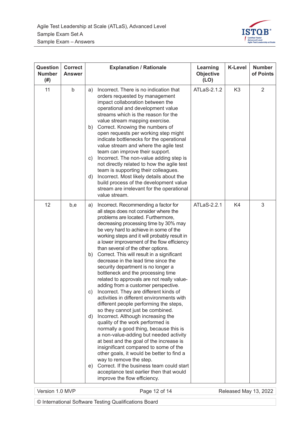

| <b>Question</b><br><b>Number</b><br>(# ) | <b>Correct</b><br><b>Answer</b> | <b>Explanation / Rationale</b>                                                                                                                                                                                                                                                                                                                                                                                                                                                                                                                                                                                                                                                                                                                                                                                                                                                                                                                                                                                                                                                                                                                                                                                                                        | Learning<br><b>Objective</b><br>(LO) | <b>K-Level</b> | <b>Number</b><br>of Points |
|------------------------------------------|---------------------------------|-------------------------------------------------------------------------------------------------------------------------------------------------------------------------------------------------------------------------------------------------------------------------------------------------------------------------------------------------------------------------------------------------------------------------------------------------------------------------------------------------------------------------------------------------------------------------------------------------------------------------------------------------------------------------------------------------------------------------------------------------------------------------------------------------------------------------------------------------------------------------------------------------------------------------------------------------------------------------------------------------------------------------------------------------------------------------------------------------------------------------------------------------------------------------------------------------------------------------------------------------------|--------------------------------------|----------------|----------------------------|
| 11                                       | b                               | Incorrect. There is no indication that<br>a)<br>orders requested by management<br>impact collaboration between the<br>operational and development value<br>streams which is the reason for the<br>value stream mapping exercise.<br>Correct. Knowing the numbers of<br>b)<br>open requests per working step might<br>indicate bottlenecks for the operational<br>value stream and where the agile test<br>team can improve their support.<br>Incorrect. The non-value adding step is<br>C)<br>not directly related to how the agile test<br>team is supporting their colleagues.<br>Incorrect. Most likely details about the<br>d)<br>build process of the development value<br>stream are irrelevant for the operational<br>value stream.                                                                                                                                                                                                                                                                                                                                                                                                                                                                                                            | ATLaS-2.1.2                          | K <sub>3</sub> | 2                          |
| 12                                       | b,e                             | Incorrect. Recommending a factor for<br>a)<br>all steps does not consider where the<br>problems are located. Furthermore,<br>decreasing processing time by 30% may<br>be very hard to achieve in some of the<br>working steps and it will probably result in<br>a lower improvement of the flow efficiency<br>than several of the other options.<br>Correct. This will result in a significant<br>b)<br>decrease in the lead time since the<br>security department is no longer a<br>bottleneck and the processing time<br>related to approvals are not really value-<br>adding from a customer perspective.<br>Incorrect. They are different kinds of<br>C)<br>activities in different environments with<br>different people performing the steps,<br>so they cannot just be combined.<br>Incorrect. Although increasing the<br>d)<br>quality of the work performed is<br>normally a good thing, because this is<br>a non-value-adding but needed activity<br>at best and the goal of the increase is<br>insignificant compared to some of the<br>other goals, it would be better to find a<br>way to remove the step.<br>Correct. If the business team could start<br>e)<br>acceptance test earlier then that would<br>improve the flow efficiency. | ATLaS-2.2.1                          | K4             | 3                          |

Version 1.0 MVP **Page 12 of 14** Released May 13, 2022

© International Software Testing Qualifications Board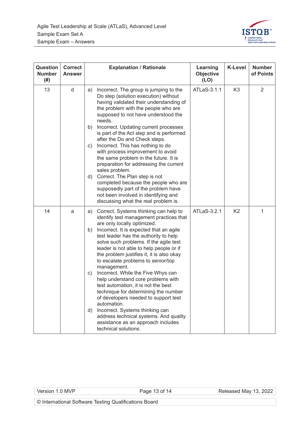

| <b>Question</b><br><b>Number</b><br>(# ) | <b>Correct</b><br><b>Answer</b> | <b>Explanation / Rationale</b>                                                                                                                                                                                                                                                                                                                                                                                                                                                                                                                                                                                                                                                                                                                                                  | Learning<br><b>Objective</b><br>(LO) | <b>K-Level</b> | <b>Number</b><br>of Points |
|------------------------------------------|---------------------------------|---------------------------------------------------------------------------------------------------------------------------------------------------------------------------------------------------------------------------------------------------------------------------------------------------------------------------------------------------------------------------------------------------------------------------------------------------------------------------------------------------------------------------------------------------------------------------------------------------------------------------------------------------------------------------------------------------------------------------------------------------------------------------------|--------------------------------------|----------------|----------------------------|
| 13                                       | d                               | Incorrect. The group is jumping to the<br>a)<br>Do step (solution execution) without<br>having validated their understanding of<br>the problem with the people who are<br>supposed to not have understood the<br>needs.<br>Incorrect. Updating current processes<br>b)<br>is part of the Act step and is performed<br>after the Do and Check steps.<br>Incorrect. This has nothing to do<br>C)<br>with process improvement to avoid<br>the same problem in the future. It is<br>preparation for addressing the current<br>sales problem.<br>Correct. The Plan step is not<br>d)<br>completed because the people who are<br>supposedly part of the problem have<br>not been involved in identifying and<br>discussing what the real problem is.                                  | ATLaS-3.1.1                          | K <sub>3</sub> | 2                          |
| 14                                       | a                               | Correct. Systems thinking can help to<br>a)<br>identify test management practices that<br>are only locally optimized.<br>Incorrect. It is expected that an agile<br>b)<br>test leader has the authority to help<br>solve such problems. If the agile test<br>leader is not able to help people or if<br>the problem justifies it, it is also okay<br>to escalate problems to senior/top<br>management.<br>Incorrect. While the Five Whys can<br>c)<br>help understand core problems with<br>test automation, it is not the best<br>technique for determining the number<br>of developers needed to support test<br>automation.<br>Incorrect. Systems thinking can<br>d)<br>address technical systems. And quality<br>assistance as an approach includes<br>technical solutions. | ATLaS-3.2.1                          | K <sub>2</sub> | 1                          |